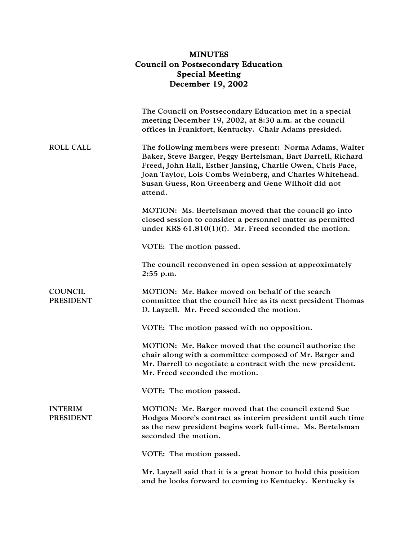## MINUTES Council on Postsecondary Education Special Meeting December 19, 2002

|                                    | The Council on Postsecondary Education met in a special<br>meeting December 19, 2002, at 8:30 a.m. at the council<br>offices in Frankfort, Kentucky. Chair Adams presided.                                                                                                                                           |
|------------------------------------|----------------------------------------------------------------------------------------------------------------------------------------------------------------------------------------------------------------------------------------------------------------------------------------------------------------------|
| <b>ROLL CALL</b>                   | The following members were present: Norma Adams, Walter<br>Baker, Steve Barger, Peggy Bertelsman, Bart Darrell, Richard<br>Freed, John Hall, Esther Jansing, Charlie Owen, Chris Pace,<br>Joan Taylor, Lois Combs Weinberg, and Charles Whitehead.<br>Susan Guess, Ron Greenberg and Gene Wilhoit did not<br>attend. |
|                                    | MOTION: Ms. Bertelsman moved that the council go into<br>closed session to consider a personnel matter as permitted<br>under KRS $61.810(1)(f)$ . Mr. Freed seconded the motion.                                                                                                                                     |
|                                    | VOTE: The motion passed.                                                                                                                                                                                                                                                                                             |
|                                    | The council reconvened in open session at approximately<br>2:55 p.m.                                                                                                                                                                                                                                                 |
| <b>COUNCIL</b><br><b>PRESIDENT</b> | MOTION: Mr. Baker moved on behalf of the search<br>committee that the council hire as its next president Thomas<br>D. Layzell. Mr. Freed seconded the motion.                                                                                                                                                        |
|                                    | VOTE: The motion passed with no opposition.                                                                                                                                                                                                                                                                          |
|                                    | MOTION: Mr. Baker moved that the council authorize the<br>chair along with a committee composed of Mr. Barger and<br>Mr. Darrell to negotiate a contract with the new president.<br>Mr. Freed seconded the motion.                                                                                                   |
|                                    | VOTE: The motion passed.                                                                                                                                                                                                                                                                                             |
| <b>INTERIM</b><br><b>PRESIDENT</b> | MOTION: Mr. Barger moved that the council extend Sue<br>Hodges Moore's contract as interim president until such time<br>as the new president begins work full-time. Ms. Bertelsman<br>seconded the motion.                                                                                                           |
|                                    | VOTE: The motion passed.                                                                                                                                                                                                                                                                                             |
|                                    | Mr. Layzell said that it is a great honor to hold this position<br>and he looks forward to coming to Kentucky. Kentucky is                                                                                                                                                                                           |